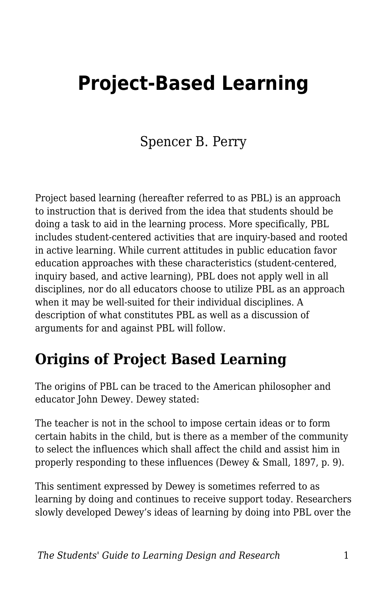# **Project-Based Learning**

#### Spencer B. Perry

Project based learning (hereafter referred to as PBL) is an approach to instruction that is derived from the idea that students should be doing a task to aid in the learning process. More specifically, PBL includes student-centered activities that are inquiry-based and rooted in active learning. While current attitudes in public education favor education approaches with these characteristics (student-centered, inquiry based, and active learning), PBL does not apply well in all disciplines, nor do all educators choose to utilize PBL as an approach when it may be well-suited for their individual disciplines. A description of what constitutes PBL as well as a discussion of arguments for and against PBL will follow.

#### **Origins of Project Based Learning**

The origins of PBL can be traced to the American philosopher and educator John Dewey. Dewey stated:

The teacher is not in the school to impose certain ideas or to form certain habits in the child, but is there as a member of the community to select the influences which shall affect the child and assist him in properly responding to these influences (Dewey & Small, 1897, p. 9).

This sentiment expressed by Dewey is sometimes referred to as learning by doing and continues to receive support today. Researchers slowly developed Dewey's ideas of learning by doing into PBL over the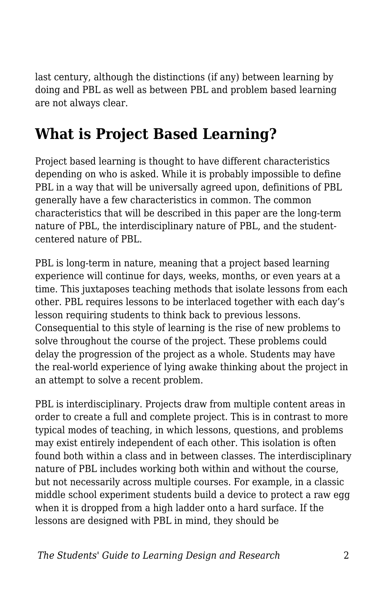last century, although the distinctions (if any) between learning by doing and PBL as well as between PBL and problem based learning are not always clear.

# **What is Project Based Learning?**

Project based learning is thought to have different characteristics depending on who is asked. While it is probably impossible to define PBL in a way that will be universally agreed upon, definitions of PBL generally have a few characteristics in common. The common characteristics that will be described in this paper are the long-term nature of PBL, the interdisciplinary nature of PBL, and the studentcentered nature of PBL.

PBL is long-term in nature, meaning that a project based learning experience will continue for days, weeks, months, or even years at a time. This juxtaposes teaching methods that isolate lessons from each other. PBL requires lessons to be interlaced together with each day's lesson requiring students to think back to previous lessons. Consequential to this style of learning is the rise of new problems to solve throughout the course of the project. These problems could delay the progression of the project as a whole. Students may have the real-world experience of lying awake thinking about the project in an attempt to solve a recent problem.

PBL is interdisciplinary. Projects draw from multiple content areas in order to create a full and complete project. This is in contrast to more typical modes of teaching, in which lessons, questions, and problems may exist entirely independent of each other. This isolation is often found both within a class and in between classes. The interdisciplinary nature of PBL includes working both within and without the course, but not necessarily across multiple courses. For example, in a classic middle school experiment students build a device to protect a raw egg when it is dropped from a high ladder onto a hard surface. If the lessons are designed with PBL in mind, they should be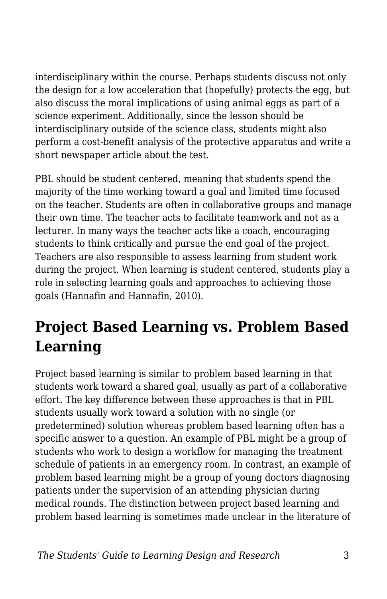interdisciplinary within the course. Perhaps students discuss not only the design for a low acceleration that (hopefully) protects the egg, but also discuss the moral implications of using animal eggs as part of a science experiment. Additionally, since the lesson should be interdisciplinary outside of the science class, students might also perform a cost-benefit analysis of the protective apparatus and write a short newspaper article about the test.

PBL should be student centered, meaning that students spend the majority of the time working toward a goal and limited time focused on the teacher. Students are often in collaborative groups and manage their own time. The teacher acts to facilitate teamwork and not as a lecturer. In many ways the teacher acts like a coach, encouraging students to think critically and pursue the end goal of the project. Teachers are also responsible to assess learning from student work during the project. When learning is student centered, students play a role in selecting learning goals and approaches to achieving those goals (Hannafin and Hannafin, 2010).

# **Project Based Learning vs. Problem Based Learning**

Project based learning is similar to problem based learning in that students work toward a shared goal, usually as part of a collaborative effort. The key difference between these approaches is that in PBL students usually work toward a solution with no single (or predetermined) solution whereas problem based learning often has a specific answer to a question. An example of PBL might be a group of students who work to design a workflow for managing the treatment schedule of patients in an emergency room. In contrast, an example of problem based learning might be a group of young doctors diagnosing patients under the supervision of an attending physician during medical rounds. The distinction between project based learning and problem based learning is sometimes made unclear in the literature of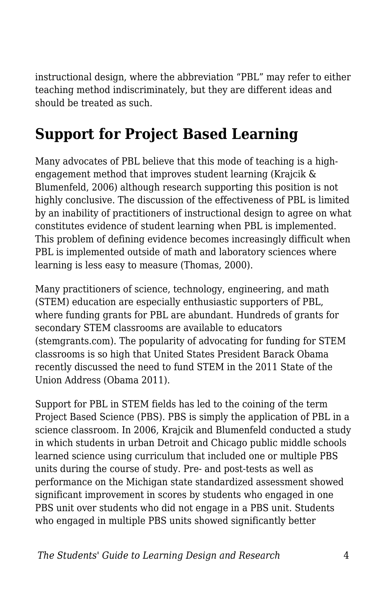instructional design, where the abbreviation "PBL" may refer to either teaching method indiscriminately, but they are different ideas and should be treated as such.

#### **Support for Project Based Learning**

Many advocates of PBL believe that this mode of teaching is a highengagement method that improves student learning (Krajcik & Blumenfeld, 2006) although research supporting this position is not highly conclusive. The discussion of the effectiveness of PBL is limited by an inability of practitioners of instructional design to agree on what constitutes evidence of student learning when PBL is implemented. This problem of defining evidence becomes increasingly difficult when PBL is implemented outside of math and laboratory sciences where learning is less easy to measure (Thomas, 2000).

Many practitioners of science, technology, engineering, and math (STEM) education are especially enthusiastic supporters of PBL, where funding grants for PBL are abundant. Hundreds of grants for secondary STEM classrooms are available to educators (stemgrants.com). The popularity of advocating for funding for STEM classrooms is so high that United States President Barack Obama recently discussed the need to fund STEM in the 2011 State of the Union Address (Obama 2011).

Support for PBL in STEM fields has led to the coining of the term Project Based Science (PBS). PBS is simply the application of PBL in a science classroom. In 2006, Krajcik and Blumenfeld conducted a study in which students in urban Detroit and Chicago public middle schools learned science using curriculum that included one or multiple PBS units during the course of study. Pre- and post-tests as well as performance on the Michigan state standardized assessment showed significant improvement in scores by students who engaged in one PBS unit over students who did not engage in a PBS unit. Students who engaged in multiple PBS units showed significantly better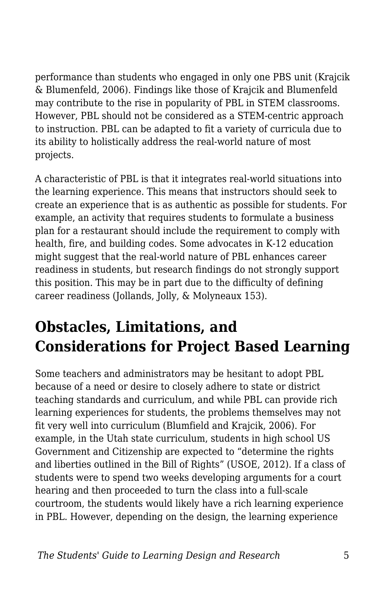performance than students who engaged in only one PBS unit (Krajcik & Blumenfeld, 2006). Findings like those of Krajcik and Blumenfeld may contribute to the rise in popularity of PBL in STEM classrooms. However, PBL should not be considered as a STEM-centric approach to instruction. PBL can be adapted to fit a variety of curricula due to its ability to holistically address the real-world nature of most projects.

A characteristic of PBL is that it integrates real-world situations into the learning experience. This means that instructors should seek to create an experience that is as authentic as possible for students. For example, an activity that requires students to formulate a business plan for a restaurant should include the requirement to comply with health, fire, and building codes. Some advocates in K-12 education might suggest that the real-world nature of PBL enhances career readiness in students, but research findings do not strongly support this position. This may be in part due to the difficulty of defining career readiness (Jollands, Jolly, & Molyneaux 153).

# **Obstacles, Limitations, and Considerations for Project Based Learning**

Some teachers and administrators may be hesitant to adopt PBL because of a need or desire to closely adhere to state or district teaching standards and curriculum, and while PBL can provide rich learning experiences for students, the problems themselves may not fit very well into curriculum (Blumfield and Krajcik, 2006). For example, in the Utah state curriculum, students in high school US Government and Citizenship are expected to "determine the rights and liberties outlined in the Bill of Rights" (USOE, 2012). If a class of students were to spend two weeks developing arguments for a court hearing and then proceeded to turn the class into a full-scale courtroom, the students would likely have a rich learning experience in PBL. However, depending on the design, the learning experience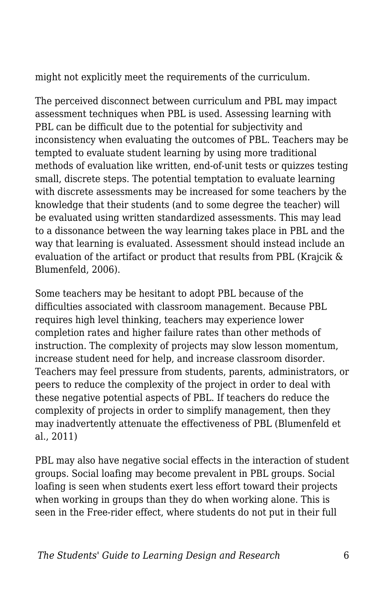might not explicitly meet the requirements of the curriculum.

The perceived disconnect between curriculum and PBL may impact assessment techniques when PBL is used. Assessing learning with PBL can be difficult due to the potential for subjectivity and inconsistency when evaluating the outcomes of PBL. Teachers may be tempted to evaluate student learning by using more traditional methods of evaluation like written, end-of-unit tests or quizzes testing small, discrete steps. The potential temptation to evaluate learning with discrete assessments may be increased for some teachers by the knowledge that their students (and to some degree the teacher) will be evaluated using written standardized assessments. This may lead to a dissonance between the way learning takes place in PBL and the way that learning is evaluated. Assessment should instead include an evaluation of the artifact or product that results from PBL (Krajcik & Blumenfeld, 2006).

Some teachers may be hesitant to adopt PBL because of the difficulties associated with classroom management. Because PBL requires high level thinking, teachers may experience lower completion rates and higher failure rates than other methods of instruction. The complexity of projects may slow lesson momentum, increase student need for help, and increase classroom disorder. Teachers may feel pressure from students, parents, administrators, or peers to reduce the complexity of the project in order to deal with these negative potential aspects of PBL. If teachers do reduce the complexity of projects in order to simplify management, then they may inadvertently attenuate the effectiveness of PBL (Blumenfeld et al., 2011)

PBL may also have negative social effects in the interaction of student groups. Social loafing may become prevalent in PBL groups. Social loafing is seen when students exert less effort toward their projects when working in groups than they do when working alone. This is seen in the Free-rider effect, where students do not put in their full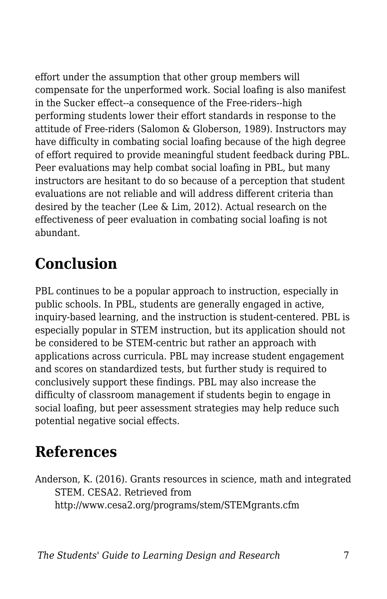effort under the assumption that other group members will compensate for the unperformed work. Social loafing is also manifest in the Sucker effect--a consequence of the Free-riders--high performing students lower their effort standards in response to the attitude of Free-riders (Salomon & Globerson, 1989). Instructors may have difficulty in combating social loafing because of the high degree of effort required to provide meaningful student feedback during PBL. Peer evaluations may help combat social loafing in PBL, but many instructors are hesitant to do so because of a perception that student evaluations are not reliable and will address different criteria than desired by the teacher (Lee & Lim, 2012). Actual research on the effectiveness of peer evaluation in combating social loafing is not abundant.

# **Conclusion**

PBL continues to be a popular approach to instruction, especially in public schools. In PBL, students are generally engaged in active, inquiry-based learning, and the instruction is student-centered. PBL is especially popular in STEM instruction, but its application should not be considered to be STEM-centric but rather an approach with applications across curricula. PBL may increase student engagement and scores on standardized tests, but further study is required to conclusively support these findings. PBL may also increase the difficulty of classroom management if students begin to engage in social loafing, but peer assessment strategies may help reduce such potential negative social effects.

#### **References**

Anderson, K. (2016). Grants resources in science, math and integrated STEM. CESA2. Retrieved from http://www.cesa2.org/programs/stem/STEMgrants.cfm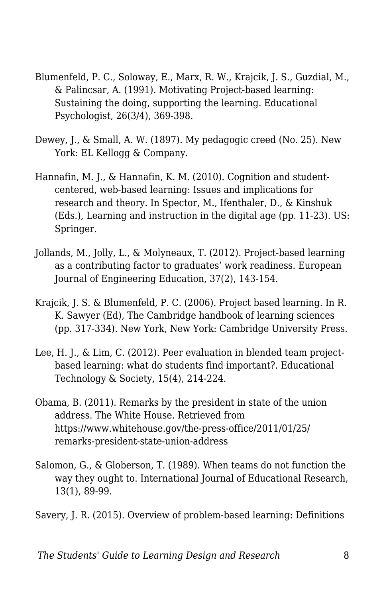- Blumenfeld, P. C., Soloway, E., Marx, R. W., Krajcik, J. S., Guzdial, M., & Palincsar, A. (1991). Motivating Project-based learning: Sustaining the doing, supporting the learning. Educational Psychologist, 26(3/4), 369-398.
- Dewey, J., & Small, A. W. (1897). My pedagogic creed (No. 25). New York: EL Kellogg & Company.
- Hannafin, M. J., & Hannafin, K. M. (2010). Cognition and studentcentered, web-based learning: Issues and implications for research and theory. In Spector, M., Ifenthaler, D., & Kinshuk (Eds.), Learning and instruction in the digital age (pp. 11-23). US: Springer.
- Jollands, M., Jolly, L., & Molyneaux, T. (2012). Project-based learning as a contributing factor to graduates' work readiness. European Journal of Engineering Education, 37(2), 143-154.
- Krajcik, J. S. & Blumenfeld, P. C. (2006). Project based learning. In R. K. Sawyer (Ed), The Cambridge handbook of learning sciences (pp. 317-334). New York, New York: Cambridge University Press.
- Lee, H. J., & Lim, C. (2012). Peer evaluation in blended team projectbased learning: what do students find important?. Educational Technology & Society, 15(4), 214-224.
- Obama, B. (2011). Remarks by the president in state of the union address. The White House. Retrieved from https://www.whitehouse.gov/the-press-office/2011/01/25/ remarks-president-state-union-address
- Salomon, G., & Globerson, T. (1989). When teams do not function the way they ought to. International Journal of Educational Research, 13(1), 89-99.

Savery, J. R. (2015). Overview of problem-based learning: Definitions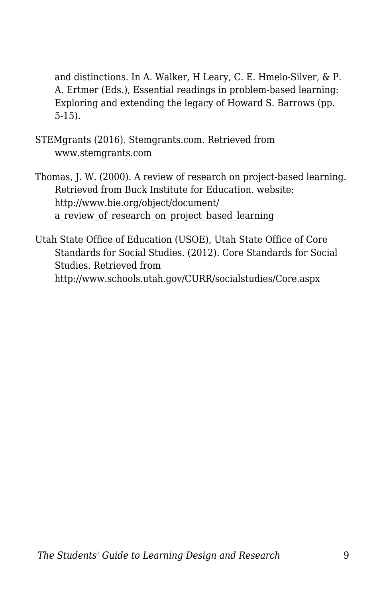and distinctions. In A. Walker, H Leary, C. E. Hmelo-Silver, & P. A. Ertmer (Eds.), Essential readings in problem-based learning: Exploring and extending the legacy of Howard S. Barrows (pp. 5-15).

- STEMgrants (2016). Stemgrants.com. Retrieved from www.stemgrants.com
- Thomas, J. W. (2000). A review of research on project-based learning. Retrieved from Buck Institute for Education. website: http://www.bie.org/object/document/ a review of research on project based learning
- Utah State Office of Education (USOE), Utah State Office of Core Standards for Social Studies. (2012). Core Standards for Social Studies. Retrieved from http://www.schools.utah.gov/CURR/socialstudies/Core.aspx